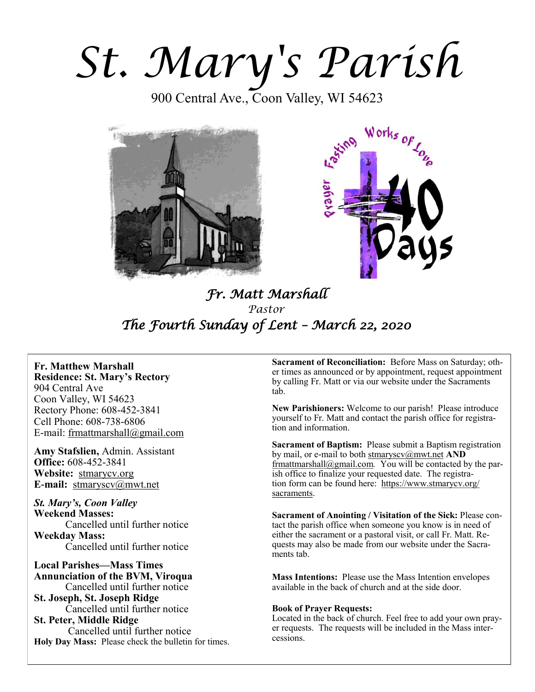*St. Mary's Parish* 

900 Central Ave., Coon Valley, WI 54623





# *Fr. Matt Marshall Pastor The Fourth Sunday of Lent – March 22, 2020*

**Fr. Matthew Marshall Residence: St. Mary's Rectory** 904 Central Ave Coon Valley, WI 54623 Rectory Phone: 608-452-3841 Cell Phone: 608-738-6806 E-mail: [frmattmarshall@gmail.com](mailto:frmattmarshall@gmail.com)

**Amy Stafslien,** Admin. Assistant **Office:** 608-452-3841 **Website:** <stmarycv.org> **E-mail:** [stmaryscv@mwt.net](mailto:stmaryscv@mwt.net)

*St. Mary's, Coon Valley*  **Weekend Masses:** Cancelled until further notice **Weekday Mass:**  Cancelled until further notice

**Local Parishes—Mass Times Annunciation of the BVM, Viroqua** Cancelled until further notice **St. Joseph, St. Joseph Ridge** Cancelled until further notice **St. Peter, Middle Ridge** Cancelled until further notice **Holy Day Mass:** Please check the bulletin for times.

**Sacrament of Reconciliation:** Before Mass on Saturday; other times as announced or by appointment, request appointment by calling Fr. Matt or via our website under the Sacraments tab.

**New Parishioners:** Welcome to our parish! Please introduce yourself to Fr. Matt and contact the parish office for registration and information.

**Sacrament of Baptism:** Please submit a Baptism registration by mail, or e-mail to both [stmaryscv@mwt.net](mailto:stmaryscv@mwt.net) **AND** [frmattmarshall@gmail.com](mailto:frmattmarshall@gmail.com)*.* You will be contacted by the parish office to finalize your requested date. The registration form can be found here: [https://www.stmarycv.org/](https://www.stmarycv.org/sacraments) [sacraments.](https://www.stmarycv.org/sacraments) 

**Sacrament of Anointing / Visitation of the Sick:** Please contact the parish office when someone you know is in need of either the sacrament or a pastoral visit, or call Fr. Matt. Requests may also be made from our website under the Sacraments tab.

**Mass Intentions:** Please use the Mass Intention envelopes available in the back of church and at the side door.

#### **Book of Prayer Requests:**

Located in the back of church. Feel free to add your own prayer requests. The requests will be included in the Mass intercessions.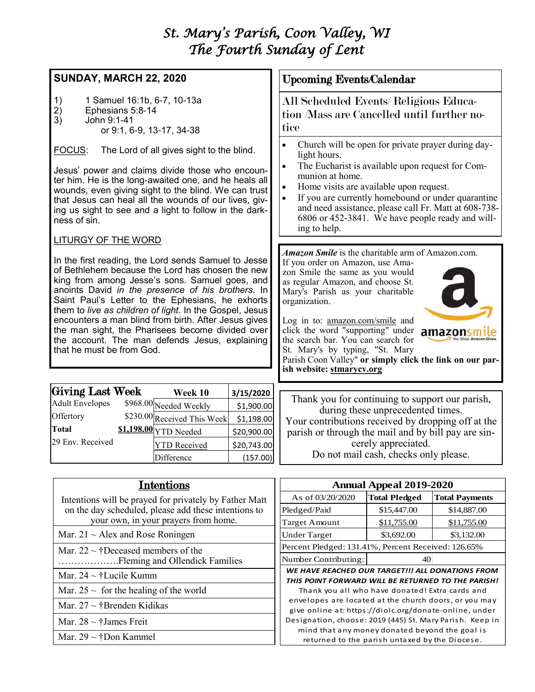# *St. Mary's Parish, Coon Valley, WI The Fourth Sunday of Lent*

# **SUNDAY, MARCH 22, 2020**

- 1) 1 Samuel 16:1b, 6-7, 10-13a<br>2) Ephesians 5:8-14
- 2) Ephesians 5:8-14
- 3) John 9:1-41
	- or 9:1, 6-9, 13-17, 34-38

FOCUS: The Lord of all gives sight to the blind.

Jesus' power and claims divide those who encounter him. He is the long-awaited one, and he heals all wounds, even giving sight to the blind. We can trust that Jesus can heal all the wounds of our lives, giving us sight to see and a light to follow in the darkness of sin.

# LITURGY OF THE WORD

In the first reading, the Lord sends Samuel to Jesse of Bethlehem because the Lord has chosen the new king from among Jesse's sons. Samuel goes, and anoints David *in the presence of his brothers*. In Saint Paul's Letter to the Ephesians, he exhorts them to *live as children of light*. In the Gospel, Jesus encounters a man blind from birth. After Jesus gives the man sight, the Pharisees become divided over the account. The man defends Jesus, explaining that he must be from God.

| <b>Giving Last Week</b> | Week 10                     | 3/15/2020   |
|-------------------------|-----------------------------|-------------|
| <b>Adult Envelopes</b>  | \$968.00 Needed Weekly      | \$1,900.00  |
| Offertory               | \$230.00 Received This Week | \$1,198.00  |
| Total                   | \$1,198.00 YTD Needed       | \$20,900.00 |
| 29 Env. Received        | <b>YTD</b> Received         | \$20,743.00 |
|                         | Difference                  | (157.00)    |

# Upcoming Events/Calendar

All Scheduled Events/ Religious Education /Mass are Cancelled until further notice

- Church will be open for private prayer during daylight hours.
- The Eucharist is available upon request for Communion at home.
- Home visits are available upon request.
- If you are currently homebound or under quarantine and need assistance, please call Fr. Matt at 608-738- 6806 or 452-3841. We have people ready and willing to help.

*Amazon Smile* is the charitable arm of Amazon.com.

If you order on Amazon, use Amazon Smile the same as you would as regular Amazon, and choose St. Mary's Parish as your charitable organization.



Log in to: [amazon.com/smile](http://amazon.com/smile) and click the word "supporting" under amazonsm the search bar. You can search for St. Mary's by typing, "St. Mary

Parish Coon Valley" **or simply click the link on our parish website:<stmarycv.org>**

Thank you for continuing to support our parish, during these unprecedented times. Your contributions received by dropping off at the parish or through the mail and by bill pay are sincerely appreciated. Do not mail cash, checks only please.

| Intentions                                                | <b>Annual Appeal 2019-2020</b>                                                                                  |                      |                       |
|-----------------------------------------------------------|-----------------------------------------------------------------------------------------------------------------|----------------------|-----------------------|
| Intentions will be prayed for privately by Father Matt    | As of 03/20/2020                                                                                                | <b>Total Pledged</b> | <b>Total Payments</b> |
| on the day scheduled, please add these intentions to      | Pledged/Paid                                                                                                    | \$15,447.00          | \$14,887.00           |
| your own, in your prayers from home.                      | Target Amount                                                                                                   | \$11,755.00          | \$11,755.00           |
| Mar. $21 \sim$ Alex and Rose Roningen                     | <b>Under Target</b>                                                                                             | \$3,692.00           | \$3,132.00            |
| Mar. $22 \sim \text{\textdegree}$ Peceased members of the | Percent Pledged: 131.41%, Percent Received: 126.65%                                                             |                      |                       |
|                                                           | Number Contributing:                                                                                            | 40                   |                       |
| Mar. $24 \sim \text{t}$ Lucile Kumm                       | WE HAVE REACHED OUR TARGET!!! ALL DONATIONS FROM<br>THIS POINT FORWARD WILL BE RETURNED TO THE PARISH!          |                      |                       |
| Mar. $25 \sim$ for the healing of the world               | Thank you all who have donated! Extra cards and                                                                 |                      |                       |
| Mar. $27 \sim \text{tBrenden Kidikas}$                    | envelopes are located at the church doors, or you may<br>give online at: https://diolc.org/donate-online, under |                      |                       |
| Mar. $28 \sim \text{\textsterling}$ James Freit           | Designation, choose: 2019 (445) St. Mary Parish. Keep in                                                        |                      |                       |
| Mar. $29 \sim \text{\text{*Don Kammel}}$                  | mind that any money donated beyond the goal is<br>returned to the parish untaxed by the Diocese.                |                      |                       |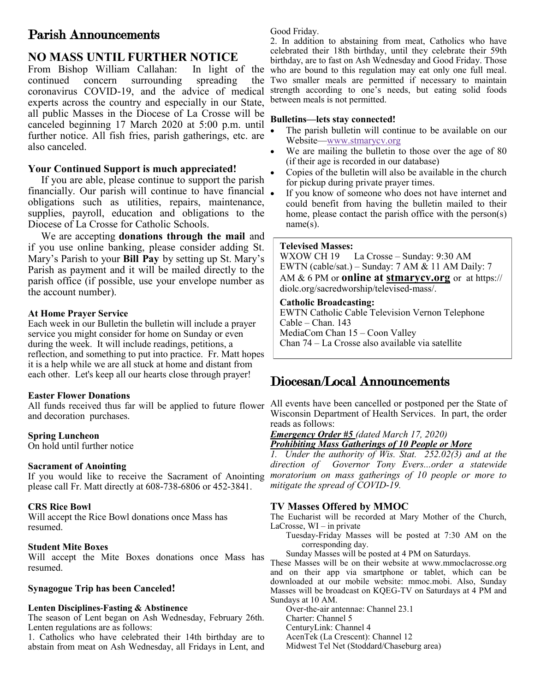# Parish Announcements

# **NO MASS UNTIL FURTHER NOTICE**

From Bishop William Callahan: In light of the continued concern surrounding spreading the coronavirus COVID-19, and the advice of medical experts across the country and especially in our State, all public Masses in the Diocese of La Crosse will be canceled beginning 17 March 2020 at 5:00 p.m. until further notice. All fish fries, parish gatherings, etc. are also canceled.

# **Your Continued Support is much appreciated!**

 If you are able, please continue to support the parish financially. Our parish will continue to have financial obligations such as utilities, repairs, maintenance, supplies, payroll, education and obligations to the Diocese of La Crosse for Catholic Schools.

 We are accepting **donations through the mail** and if you use online banking, please consider adding St. Mary's Parish to your **Bill Pay** by setting up St. Mary's Parish as payment and it will be mailed directly to the parish office (if possible, use your envelope number as the account number).

# **At Home Prayer Service**

Each week in our Bulletin the bulletin will include a prayer service you might consider for home on Sunday or even during the week. It will include readings, petitions, a reflection, and something to put into practice. Fr. Matt hopes it is a help while we are all stuck at home and distant from each other. Let's keep all our hearts close through prayer!

# **Easter Flower Donations**

All funds received thus far will be applied to future flower and decoration purchases.

# **Spring Luncheon**

On hold until further notice

# **Sacrament of Anointing**

If you would like to receive the Sacrament of Anointing please call Fr. Matt directly at 608-738-6806 or 452-3841.

# **CRS Rice Bowl**

Will accept the Rice Bowl donations once Mass has resumed.

# **Student Mite Boxes**

Will accept the Mite Boxes donations once Mass has resumed.

# **Synagogue Trip has been Canceled!**

#### **Lenten Disciplines-Fasting & Abstinence**

The season of Lent began on Ash Wednesday, February 26th. Lenten regulations are as follows:

1. Catholics who have celebrated their 14th birthday are to abstain from meat on Ash Wednesday, all Fridays in Lent, and

Good Friday.

2. In addition to abstaining from meat, Catholics who have celebrated their 18th birthday, until they celebrate their 59th birthday, are to fast on Ash Wednesday and Good Friday. Those who are bound to this regulation may eat only one full meal. Two smaller meals are permitted if necessary to maintain strength according to one's needs, but eating solid foods between meals is not permitted.

# **Bulletins—lets stay connected!**

- The parish bulletin will continue to be available on our Website[—www.stmarycv.org](http://www.stmarycv.org)
- We are mailing the bulletin to those over the age of 80 (if their age is recorded in our database)
- Copies of the bulletin will also be available in the church for pickup during private prayer times.
- If you know of someone who does not have internet and could benefit from having the bulletin mailed to their home, please contact the parish office with the person(s) name(s).

#### **Televised Masses:**

WXOW CH 19 La Crosse – Sunday: 9:30 AM EWTN (cable/sat.) – Sunday: 7 AM & 11 AM Daily: 7 AM & 6 PM or **online at [stmarycv.org](http://www.stmarycv.org)** or at https:// diolc.org/sacredworship/televised-mass/.

## **Catholic Broadcasting:**

EWTN Catholic Cable Television Vernon Telephone Cable – Chan. 143 MediaCom Chan 15 – Coon Valley Chan 74 – La Crosse also available via satellite

# Diocesan/Local Announcements

All events have been cancelled or postponed per the State of Wisconsin Department of Health Services. In part, the order reads as follows:

*Emergency Order #5 (dated March 17, 2020)*

*Prohibiting Mass Gatherings of 10 People or More*

*1. Under the authority of Wis. Stat. 252.02(3) and at the direction of Governor Tony Evers...order a statewide moratorium on mass gatherings of 10 people or more to mitigate the spread of COVID-19.* 

# **TV Masses Offered by MMOC**

The Eucharist will be recorded at Mary Mother of the Church, LaCrosse, WI – in private

- Tuesday-Friday Masses will be posted at 7:30 AM on the corresponding day.
- Sunday Masses will be posted at 4 PM on Saturdays.

These Masses will be on their website at www.mmoclacrosse.org and on their app via smartphone or tablet, which can be downloaded at our mobile website: mmoc.mobi. Also, Sunday Masses will be broadcast on KQEG-TV on Saturdays at 4 PM and Sundays at 10 AM.

Over-the-air antennae: Channel 23.1 Charter: Channel 5

CenturyLink: Channel 4

AcenTek (La Crescent): Channel 12

Midwest Tel Net (Stoddard/Chaseburg area)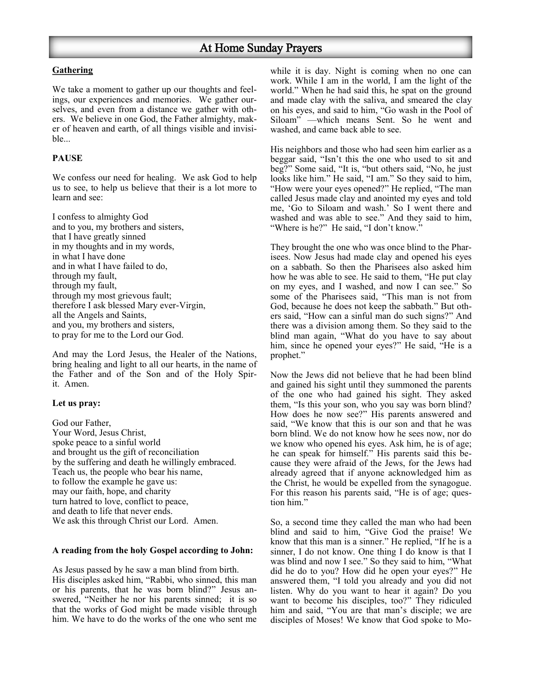## **Gathering**

We take a moment to gather up our thoughts and feelings, our experiences and memories. We gather ourselves, and even from a distance we gather with others. We believe in one God, the Father almighty, maker of heaven and earth, of all things visible and invisible...

# **PAUSE**

We confess our need for healing. We ask God to help us to see, to help us believe that their is a lot more to learn and see:

I confess to almighty God and to you, my brothers and sisters, that I have greatly sinned in my thoughts and in my words, in what I have done and in what I have failed to do, through my fault, through my fault, through my most grievous fault; therefore I ask blessed Mary ever-Virgin, all the Angels and Saints, and you, my brothers and sisters, to pray for me to the Lord our God.

And may the Lord Jesus, the Healer of the Nations, bring healing and light to all our hearts, in the name of the Father and of the Son and of the Holy Spirit. Amen.

#### **Let us pray:**

God our Father, Your Word, Jesus Christ, spoke peace to a sinful world and brought us the gift of reconciliation by the suffering and death he willingly embraced. Teach us, the people who bear his name, to follow the example he gave us: may our faith, hope, and charity turn hatred to love, conflict to peace, and death to life that never ends. We ask this through Christ our Lord. Amen.

#### **A reading from the holy Gospel according to John:**

As Jesus passed by he saw a man blind from birth. His disciples asked him, "Rabbi, who sinned, this man or his parents, that he was born blind?" Jesus answered, "Neither he nor his parents sinned; it is so that the works of God might be made visible through him. We have to do the works of the one who sent me

while it is day. Night is coming when no one can work. While I am in the world, I am the light of the world." When he had said this, he spat on the ground and made clay with the saliva, and smeared the clay on his eyes, and said to him, "Go wash in the Pool of Siloam" —which means Sent. So he went and washed, and came back able to see.

His neighbors and those who had seen him earlier as a beggar said, "Isn't this the one who used to sit and beg?" Some said, "It is, "but others said, "No, he just looks like him." He said, "I am." So they said to him, "How were your eyes opened?" He replied, "The man called Jesus made clay and anointed my eyes and told me, 'Go to Siloam and wash.' So I went there and washed and was able to see." And they said to him, "Where is he?" He said, "I don't know."

They brought the one who was once blind to the Pharisees. Now Jesus had made clay and opened his eyes on a sabbath. So then the Pharisees also asked him how he was able to see. He said to them, "He put clay on my eyes, and I washed, and now I can see." So some of the Pharisees said, "This man is not from God, because he does not keep the sabbath." But others said, "How can a sinful man do such signs?" And there was a division among them. So they said to the blind man again, "What do you have to say about him, since he opened your eyes?" He said, "He is a prophet."

Now the Jews did not believe that he had been blind and gained his sight until they summoned the parents of the one who had gained his sight. They asked them, "Is this your son, who you say was born blind? How does he now see?" His parents answered and said, "We know that this is our son and that he was born blind. We do not know how he sees now, nor do we know who opened his eyes. Ask him, he is of age; he can speak for himself." His parents said this because they were afraid of the Jews, for the Jews had already agreed that if anyone acknowledged him as the Christ, he would be expelled from the synagogue. For this reason his parents said, "He is of age; question him."

So, a second time they called the man who had been blind and said to him, "Give God the praise! We know that this man is a sinner." He replied, "If he is a sinner, I do not know. One thing I do know is that I was blind and now I see." So they said to him, "What did he do to you? How did he open your eyes?" He answered them, "I told you already and you did not listen. Why do you want to hear it again? Do you want to become his disciples, too?" They ridiculed him and said, "You are that man's disciple; we are disciples of Moses! We know that God spoke to Mo-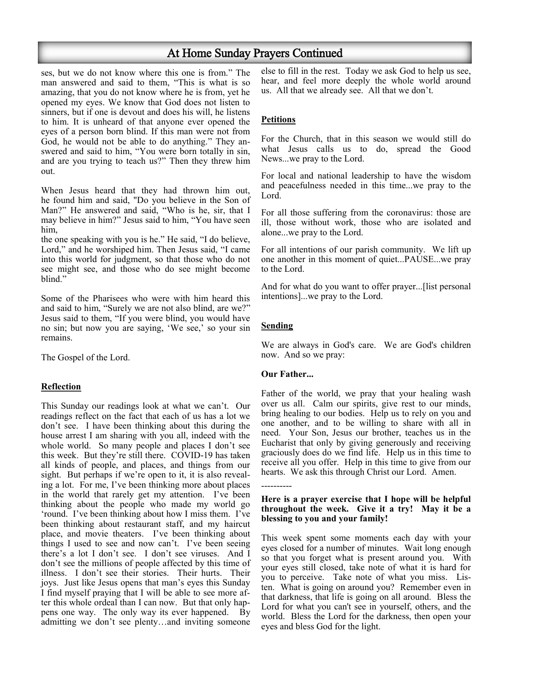# At Home Sunday Prayers Continued

ses, but we do not know where this one is from." The man answered and said to them, "This is what is so amazing, that you do not know where he is from, yet he opened my eyes. We know that God does not listen to sinners, but if one is devout and does his will, he listens to him. It is unheard of that anyone ever opened the eyes of a person born blind. If this man were not from God, he would not be able to do anything." They answered and said to him, "You were born totally in sin, and are you trying to teach us?" Then they threw him out.

When Jesus heard that they had thrown him out, he found him and said, "Do you believe in the Son of Man?" He answered and said, "Who is he, sir, that I may believe in him?" Jesus said to him, "You have seen him,

the one speaking with you is he." He said, "I do believe, Lord," and he worshiped him. Then Jesus said, "I came into this world for judgment, so that those who do not see might see, and those who do see might become blind."

Some of the Pharisees who were with him heard this and said to him, "Surely we are not also blind, are we?" Jesus said to them, "If you were blind, you would have no sin; but now you are saying, 'We see,' so your sin remains.

The Gospel of the Lord.

#### **Reflection**

This Sunday our readings look at what we can't. Our readings reflect on the fact that each of us has a lot we don't see. I have been thinking about this during the house arrest I am sharing with you all, indeed with the whole world. So many people and places I don't see this week. But they're still there. COVID-19 has taken all kinds of people, and places, and things from our sight. But perhaps if we're open to it, it is also revealing a lot. For me, I've been thinking more about places in the world that rarely get my attention. I've been thinking about the people who made my world go 'round. I've been thinking about how I miss them. I've been thinking about restaurant staff, and my haircut place, and movie theaters. I've been thinking about things I used to see and now can't. I've been seeing there's a lot I don't see. I don't see viruses. And I don't see the millions of people affected by this time of illness. I don't see their stories. Their hurts. Their joys. Just like Jesus opens that man's eyes this Sunday I find myself praying that I will be able to see more after this whole ordeal than I can now. But that only happens one way. The only way its ever happened. By admitting we don't see plenty…and inviting someone

else to fill in the rest. Today we ask God to help us see, hear, and feel more deeply the whole world around us. All that we already see. All that we don't.

## **Petitions**

For the Church, that in this season we would still do what Jesus calls us to do, spread the Good News...we pray to the Lord.

For local and national leadership to have the wisdom and peacefulness needed in this time...we pray to the Lord.

For all those suffering from the coronavirus: those are ill, those without work, those who are isolated and alone...we pray to the Lord.

For all intentions of our parish community. We lift up one another in this moment of quiet...PAUSE...we pray to the Lord.

And for what do you want to offer prayer...[list personal intentions]...we pray to the Lord.

#### **Sending**

----------

We are always in God's care. We are God's children now. And so we pray:

#### **Our Father...**

Father of the world, we pray that your healing wash over us all. Calm our spirits, give rest to our minds, bring healing to our bodies. Help us to rely on you and one another, and to be willing to share with all in need. Your Son, Jesus our brother, teaches us in the Eucharist that only by giving generously and receiving graciously does do we find life. Help us in this time to receive all you offer. Help in this time to give from our hearts. We ask this through Christ our Lord. Amen.

#### **Here is a prayer exercise that I hope will be helpful throughout the week. Give it a try! May it be a blessing to you and your family!**

This week spent some moments each day with your eyes closed for a number of minutes. Wait long enough so that you forget what is present around you. With your eyes still closed, take note of what it is hard for you to perceive. Take note of what you miss. Listen. What is going on around you? Remember even in that darkness, that life is going on all around. Bless the Lord for what you can't see in yourself, others, and the world. Bless the Lord for the darkness, then open your eyes and bless God for the light.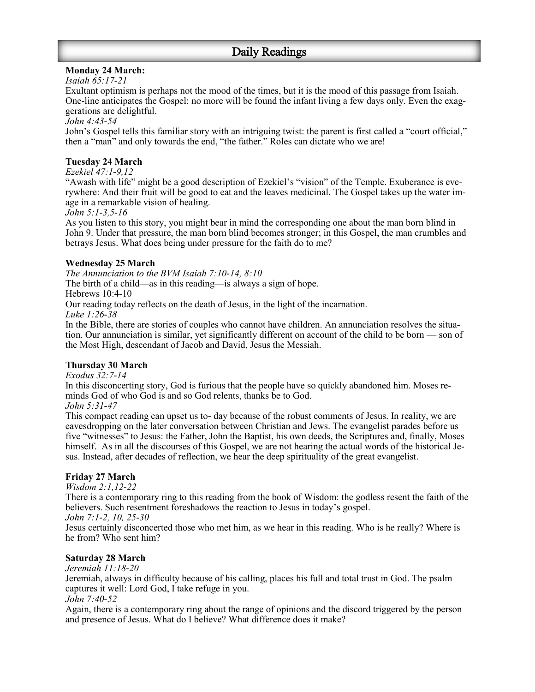# **Monday 24 March:**

# *Isaiah 65:17-21*

Exultant optimism is perhaps not the mood of the times, but it is the mood of this passage from Isaiah. One-line anticipates the Gospel: no more will be found the infant living a few days only. Even the exaggerations are delightful.

*John 4:43-54*

John's Gospel tells this familiar story with an intriguing twist: the parent is first called a "court official," then a "man" and only towards the end, "the father." Roles can dictate who we are!

## **Tuesday 24 March**

*Ezekiel 47:1-9,12*

"Awash with life" might be a good description of Ezekiel's "vision" of the Temple. Exuberance is everywhere: And their fruit will be good to eat and the leaves medicinal. The Gospel takes up the water image in a remarkable vision of healing.

*John 5:1-3,5-16*

As you listen to this story, you might bear in mind the corresponding one about the man born blind in John 9. Under that pressure, the man born blind becomes stronger; in this Gospel, the man crumbles and betrays Jesus. What does being under pressure for the faith do to me?

## **Wednesday 25 March**

*The Annunciation to the BVM Isaiah 7:10-14, 8:10*

The birth of a child—as in this reading—is always a sign of hope.

Hebrews 10:4-10

Our reading today reflects on the death of Jesus, in the light of the incarnation.

*Luke 1:26-38*

In the Bible, there are stories of couples who cannot have children. An annunciation resolves the situation. Our annunciation is similar, yet significantly different on account of the child to be born — son of the Most High, descendant of Jacob and David, Jesus the Messiah.

# **Thursday 30 March**

*Exodus 32:7-14*

In this disconcerting story, God is furious that the people have so quickly abandoned him. Moses reminds God of who God is and so God relents, thanks be to God.

*John 5:31-47*

This compact reading can upset us to- day because of the robust comments of Jesus. In reality, we are eavesdropping on the later conversation between Christian and Jews. The evangelist parades before us five "witnesses" to Jesus: the Father, John the Baptist, his own deeds, the Scriptures and, finally, Moses himself. As in all the discourses of this Gospel, we are not hearing the actual words of the historical Jesus. Instead, after decades of reflection, we hear the deep spirituality of the great evangelist.

# **Friday 27 March**

*Wisdom 2:1,12-22*

There is a contemporary ring to this reading from the book of Wisdom: the godless resent the faith of the believers. Such resentment foreshadows the reaction to Jesus in today's gospel.

*John 7:1-2, 10, 25-30*

Jesus certainly disconcerted those who met him, as we hear in this reading. Who is he really? Where is he from? Who sent him?

# **Saturday 28 March**

*Jeremiah 11:18-20*

Jeremiah, always in difficulty because of his calling, places his full and total trust in God. The psalm captures it well: Lord God, I take refuge in you.

*John 7:40-52*

Again, there is a contemporary ring about the range of opinions and the discord triggered by the person and presence of Jesus. What do I believe? What difference does it make?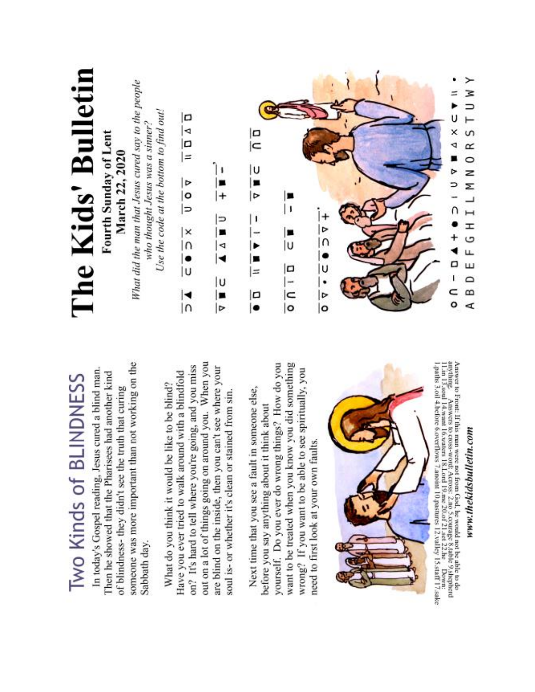

Next time that you see a fault in someone else,

before you say anything about it think about

need to first look at your own faults.

soul is- or whether it's clean or stained from sin.

of blindness- they didn't see the truth that curing

Sabbath day.

# www.thekidsbulletin.com

Answer to Front: If this man were not from God, he would not be able to do anything. Answers to coss-word! Across: 2.no 5.courage 8.table 9.shepherd 11.in 13.saal 14.want 16.waters 18.Lord 19.me 20.of 21.set 22.he Down: 1